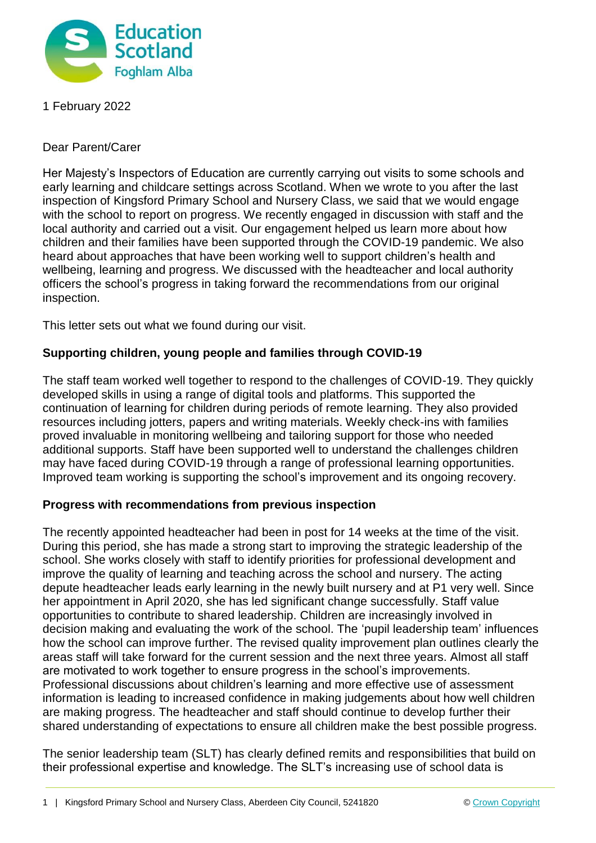

1 February 2022

Dear Parent/Carer

Her Majesty's Inspectors of Education are currently carrying out visits to some schools and early learning and childcare settings across Scotland. When we wrote to you after the last inspection of Kingsford Primary School and Nursery Class, we said that we would engage with the school to report on progress. We recently engaged in discussion with staff and the local authority and carried out a visit. Our engagement helped us learn more about how children and their families have been supported through the COVID-19 pandemic. We also heard about approaches that have been working well to support children's health and wellbeing, learning and progress. We discussed with the headteacher and local authority officers the school's progress in taking forward the recommendations from our original inspection.

This letter sets out what we found during our visit.

## **Supporting children, young people and families through COVID-19**

The staff team worked well together to respond to the challenges of COVID-19. They quickly developed skills in using a range of digital tools and platforms. This supported the continuation of learning for children during periods of remote learning. They also provided resources including jotters, papers and writing materials. Weekly check-ins with families proved invaluable in monitoring wellbeing and tailoring support for those who needed additional supports. Staff have been supported well to understand the challenges children may have faced during COVID-19 through a range of professional learning opportunities. Improved team working is supporting the school's improvement and its ongoing recovery.

## **Progress with recommendations from previous inspection**

The recently appointed headteacher had been in post for 14 weeks at the time of the visit. During this period, she has made a strong start to improving the strategic leadership of the school. She works closely with staff to identify priorities for professional development and improve the quality of learning and teaching across the school and nursery. The acting depute headteacher leads early learning in the newly built nursery and at P1 very well. Since her appointment in April 2020, she has led significant change successfully. Staff value opportunities to contribute to shared leadership. Children are increasingly involved in decision making and evaluating the work of the school. The 'pupil leadership team' influences how the school can improve further. The revised quality improvement plan outlines clearly the areas staff will take forward for the current session and the next three years. Almost all staff are motivated to work together to ensure progress in the school's improvements. Professional discussions about children's learning and more effective use of assessment information is leading to increased confidence in making judgements about how well children are making progress. The headteacher and staff should continue to develop further their shared understanding of expectations to ensure all children make the best possible progress.

The senior leadership team (SLT) has clearly defined remits and responsibilities that build on their professional expertise and knowledge. The SLT's increasing use of school data is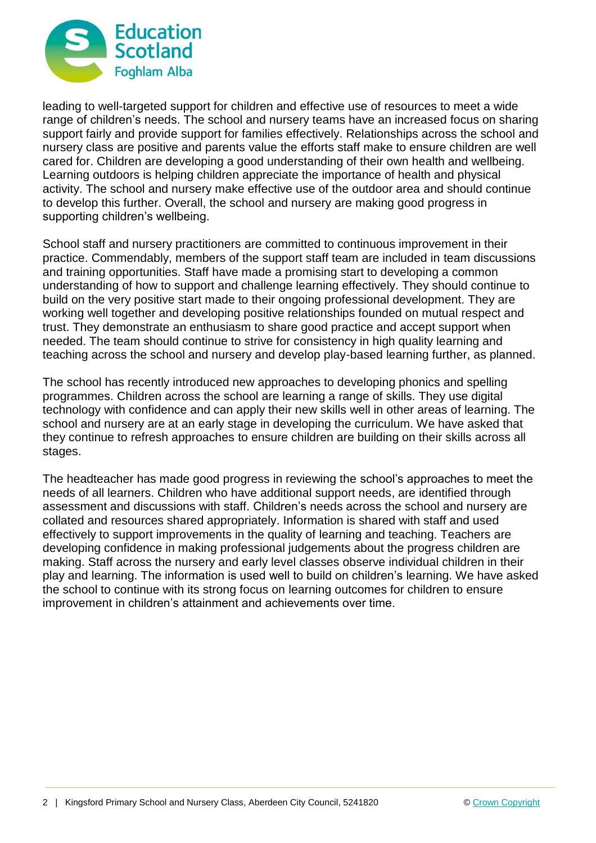

leading to well-targeted support for children and effective use of resources to meet a wide range of children's needs. The school and nursery teams have an increased focus on sharing support fairly and provide support for families effectively. Relationships across the school and nursery class are positive and parents value the efforts staff make to ensure children are well cared for. Children are developing a good understanding of their own health and wellbeing. Learning outdoors is helping children appreciate the importance of health and physical activity. The school and nursery make effective use of the outdoor area and should continue to develop this further. Overall, the school and nursery are making good progress in supporting children's wellbeing.

School staff and nursery practitioners are committed to continuous improvement in their practice. Commendably, members of the support staff team are included in team discussions and training opportunities. Staff have made a promising start to developing a common understanding of how to support and challenge learning effectively. They should continue to build on the very positive start made to their ongoing professional development. They are working well together and developing positive relationships founded on mutual respect and trust. They demonstrate an enthusiasm to share good practice and accept support when needed. The team should continue to strive for consistency in high quality learning and teaching across the school and nursery and develop play-based learning further, as planned.

The school has recently introduced new approaches to developing phonics and spelling programmes. Children across the school are learning a range of skills. They use digital technology with confidence and can apply their new skills well in other areas of learning. The school and nursery are at an early stage in developing the curriculum. We have asked that they continue to refresh approaches to ensure children are building on their skills across all stages.

The headteacher has made good progress in reviewing the school's approaches to meet the needs of all learners. Children who have additional support needs, are identified through assessment and discussions with staff. Children's needs across the school and nursery are collated and resources shared appropriately. Information is shared with staff and used effectively to support improvements in the quality of learning and teaching. Teachers are developing confidence in making professional judgements about the progress children are making. Staff across the nursery and early level classes observe individual children in their play and learning. The information is used well to build on children's learning. We have asked the school to continue with its strong focus on learning outcomes for children to ensure improvement in children's attainment and achievements over time.